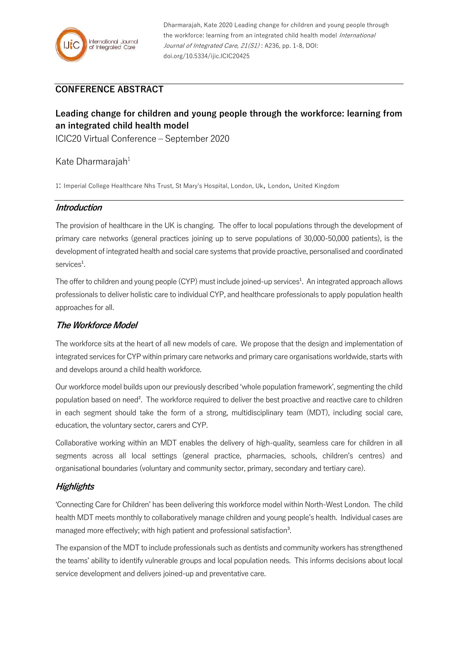

Dharmarajah, Kate 2020 Leading change for children and young people through the workforce: learning from an integrated child health model International Journal of Integrated Care, 21(S1): A236, pp. 1-8, DOI: doi.org/10.5334/ijic.ICIC20425

# **CONFERENCE ABSTRACT**

# **Leading change for children and young people through the workforce: learning from an integrated child health model**

ICIC20 Virtual Conference – September 2020

#### Kate Dharmarajah<sup>1</sup>

1: Imperial College Healthcare Nhs Trust, St Mary's Hospital, London, Uk, London, United Kingdom

#### **Introduction**

The provision of healthcare in the UK is changing. The offer to local populations through the development of primary care networks (general practices joining up to serve populations of 30,000-50,000 patients), is the development of integrated health and social care systems that provide proactive, personalised and coordinated services<sup>1</sup>.

The offer to children and young people (CYP) must include joined-up services<sup>1</sup>. An integrated approach allows professionals to deliver holistic care to individual CYP, and healthcare professionals to apply population health approaches for all.

#### **The Workforce Model**

The workforce sits at the heart of all new models of care. We propose that the design and implementation of integrated services for CYP within primary care networks and primary care organisations worldwide, starts with and develops around a child health workforce.

Our workforce model builds upon our previously described 'whole population framework', segmenting the child population based on need². The workforce required to deliver the best proactive and reactive care to children in each segment should take the form of a strong, multidisciplinary team (MDT), including social care, education, the voluntary sector, carers and CYP.

Collaborative working within an MDT enables the delivery of high-quality, seamless care for children in all segments across all local settings (general practice, pharmacies, schools, children's centres) and organisational boundaries (voluntary and community sector, primary, secondary and tertiary care).

#### **Highlights**

'Connecting Care for Children' has been delivering this workforce model within North-West London. The child health MDT meets monthly to collaboratively manage children and young people's health. Individual cases are managed more effectively; with high patient and professional satisfaction<sup>3</sup>.

The expansion of the MDT to include professionals such as dentists and community workers has strengthened the teams' ability to identify vulnerable groups and local population needs. This informs decisions about local service development and delivers joined-up and preventative care.